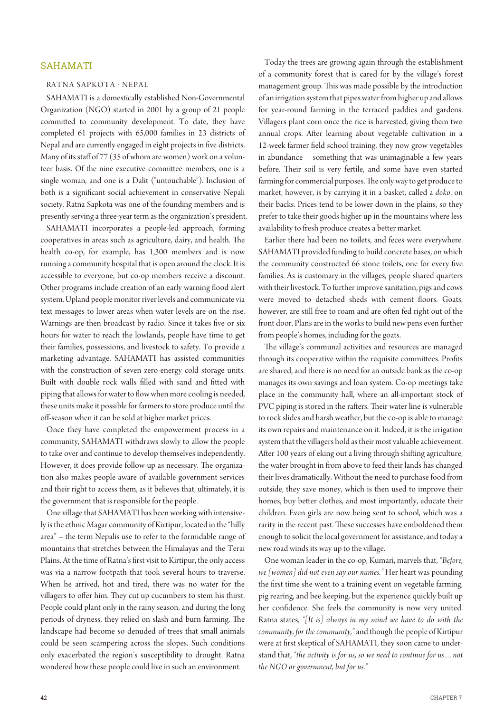## SAHAMATI

## RATNA SAPKOTA · NEPAL

SAHAMATI is a domestically established Non-Governmental Organization (NGO) started in 2001 by a group of 21 people commited to community development. To date, they have completed 61 projects with 65,000 families in 23 districts of Nepal and are currently engaged in eight projects in fve districts. Many of its staff of 77 (35 of whom are women) work on a volunteer basis. Of the nine executive commitee members, one is a single woman, and one is a Dalit ("untouchable"). Inclusion of both is a signifcant social achievement in conservative Nepali society. Ratna Sapkota was one of the founding members and is presently serving a three-year term as the organization's president.

SAHAMATI incorporates a people-led approach, forming cooperatives in areas such as agriculture, dairy, and health. The health co-op, for example, has 1,300 members and is now running a community hospital that is open around the clock. It is accessible to everyone, but co-op members receive a discount. Other programs include creation of an early warning flood alert system. Upland people monitor river levels and communicate via text messages to lower areas when water levels are on the rise. Warnings are then broadcast by radio. Since it takes five or six hours for water to reach the lowlands, people have time to get their families, possessions, and livestock to safety. To provide a marketing advantage, SAHAMATI has assisted communities with the construction of seven zero-energy cold storage units. Built with double rock walls filled with sand and fitted with piping that allows for water to flow when more cooling is needed, these units make it possible for farmers to store produce until the of-season when it can be sold at higher market prices.

Once they have completed the empowerment process in a community, SAHAMATI withdraws slowly to allow the people to take over and continue to develop themselves independently. However, it does provide follow-up as necessary. The organization also makes people aware of available government services and their right to access them, as it believes that, ultimately, it is the government that is responsible for the people.

One village that SAHAMATI has been working with intensively is the ethnic Magar community of Kirtipur, located in the "hilly area" – the term Nepalis use to refer to the formidable range of mountains that stretches between the Himalayas and the Terai Plains. At the time of Ratna's frst visit to Kirtipur, the only access was via a narrow footpath that took several hours to traverse. When he arrived, hot and tired, there was no water for the villagers to offer him. They cut up cucumbers to stem his thirst. People could plant only in the rainy season, and during the long periods of dryness, they relied on slash and burn farming. The landscape had become so denuded of trees that small animals could be seen scampering across the slopes. Such conditions only exacerbated the region's susceptibility to drought. Ratna wondered how these people could live in such an environment.

Today the trees are growing again through the establishment of a community forest that is cared for by the village's forest management group. This was made possible by the introduction of an irrigation system that pipes water from higher up and allows for year-round farming in the terraced paddies and gardens. Villagers plant corn once the rice is harvested, giving them two annual crops. Afer learning about vegetable cultivation in a 12-week farmer feld school training, they now grow vegetables in abundance – something that was unimaginable a few years before. Their soil is very fertile, and some have even started farming for commercial purposes. The only way to get produce to market, however, is by carrying it in a basket, called a *doko*, on their backs. Prices tend to be lower down in the plains, so they prefer to take their goods higher up in the mountains where less availability to fresh produce creates a beter market.

Earlier there had been no toilets, and feces were everywhere. SAHAMATI provided funding to build concrete bases, on which the community constructed 66 stone toilets, one for every fve families. As is customary in the villages, people shared quarters with their livestock. To further improve sanitation, pigs and cows were moved to detached sheds with cement floors. Goats, however, are still free to roam and are often fed right out of the front door. Plans are in the works to build new pens even further from people's homes, including for the goats.

The village's communal activities and resources are managed through its cooperative within the requisite commitees. Profts are shared, and there is no need for an outside bank as the co-op manages its own savings and loan system. Co-op meetings take place in the community hall, where an all-important stock of PVC piping is stored in the rafters. Their water line is vulnerable to rock slides and harsh weather, but the co-op is able to manage its own repairs and maintenance on it. Indeed, it is the irrigation system that the villagers hold as their most valuable achievement. Afer 100 years of eking out a living through shifing agriculture, the water brought in from above to feed their lands has changed their lives dramatically. Without the need to purchase food from outside, they save money, which is then used to improve their homes, buy better clothes, and most importantly, educate their children. Even girls are now being sent to school, which was a rarity in the recent past. These successes have emboldened them enough to solicit the local government for assistance, and today a new road winds its way up to the village.

One woman leader in the co-op, Kumari, marvels that, *"Before, we [women] did not even say our names."* Her heart was pounding the frst time she went to a training event on vegetable farming, pig rearing, and bee keeping, but the experience quickly built up her confdence. She feels the community is now very united. Ratna states, *"[It is] always in my mind we have to do with the community, for the community,"* and though the people of Kirtipur were at frst skeptical of SAHAMATI, they soon came to understand that, *"the activity is for us, so we need to continue for us…not the NGO or government, but for us."*